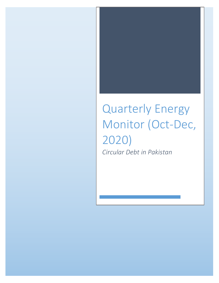# Quarterly Energy Monitor (Oct-Dec, 2020) *Circular Debt in Pakistan*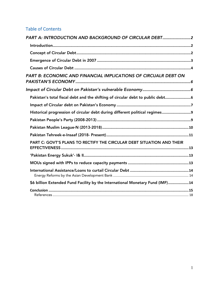# Table of Contents

| PART A: INTRODUCTION AND BACKGROUND OF CIRCULAR DEBT2                         |
|-------------------------------------------------------------------------------|
|                                                                               |
|                                                                               |
|                                                                               |
|                                                                               |
| PART B: ECONOMIC AND FINANCIAL IMPLICATIONS OF CIRCUALR DEBT ON               |
|                                                                               |
| Pakistan's total fiscal debt and the shifting of circular debt to public debt |
|                                                                               |
| Historical progression of circular debt during different political regimes    |
|                                                                               |
|                                                                               |
|                                                                               |
| PART C: GOVT'S PLANS TO RECTIFY THE CIRCULAR DEBT SITUATION AND THEIR         |
|                                                                               |
|                                                                               |
|                                                                               |
| \$6 billion Extended Fund Facility by the International Monetary Fund (IMF)14 |
|                                                                               |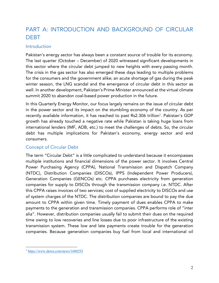# PART A: INTRODUCTION AND BACKGROUND OF CIRCULAR DEBT

#### Introduction

Pakistan's energy sector has always been a constant source of trouble for its economy. The last quarter (October – December) of 2020 witnessed significant developments in this sector where the circular debt jumped to new heights with every passing month. The crisis in the gas sector has also emerged these days leading to multiple problems for the consumers and the government alike; an acute shortage of gas during the peak winter season, the LNG scandal and the emergence of circular debt in this sector as well. In another development, Pakistan's Prime Minister announced at the virtual climate summit 2020 to abandon coal-based power production in the future.

In this Quarterly Energy Monitor, our focus largely remains on the issue of circular debt in the power sector and its impact on the stumbling economy of the country. As per recently available information, it has reached to past Rs2.306 trillion<sup>1</sup>. Pakistan's GDP growth has already touched a negative rate while Pakistan is taking huge loans from international lenders (IMF, ADB, etc.) to meet the challenges of debts. So, the circular debt has multiple implications for Pakistan's economy, energy sector and end consumers.

## Concept of Circular Debt

The term "Circular Debt" is a little complicated to understand because it encompasses multiple institutions and financial dimensions of the power sector. It involves Central Power Purchasing Agency (CPPA), National Transmission and Dispatch Company (NTDC), Distribution Companies (DISCOs), IPPS (Independent Power Producers), Generation Companies (GENCOs) etc. CPPA purchases electricity from generation companies for supply to DISCOs through the transmission company i.e. NTDC. After this CPPA raises invoices of two services; cost of supplied electricity to DISCOs and use of system charges of the NTDC. The distribution companies are bound to pay the due amount to CPPA within given time. Timely payment of dues enables CPPA to make payments to the generation and transmission companies. CPPA performs role of "inter alia". However, distribution companies usually fail to submit their dues on the required time owing to low recoveries and line losses due to poor infrastructure of the existing transmission system. These low and late payments create trouble for the generation companies. Because generation companies buy fuel from local and international oil

 <sup>1</sup> https://www.dawn.com/news/1600293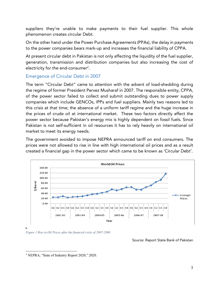suppliers they're unable to make payments to their fuel supplier. This whole phenomenon creates circular Debt.

On the other hand under the Power Purchase Agreements (PPAs), the delay in payments to the power companies bears mark-up and increases the financial liability of CPPA.

At present circular debt in Pakistan is not only affecting the liquidity of the fuel supplier, generation, transmission and distribution companies but also increasing the cost of electricity for the end-consumer2 .

## Emergence of Circular Debt in 2007

The term "Circular Debt" came to attention with the advent of load-shedding during the regime of former President Pervez Musharaf in 2007. The responsible entity, CPPA, of the power sector failed to collect and submit outstanding dues to power supply companies which include GENCOs, IPPs and fuel suppliers. Mainly two reasons led to this crisis at that time; the absence of a uniform tariff regime and the huge increase in the prices of crude oil at international market. These two factors directly affect the power sector because Pakistan's energy mix is highly dependent on fossil fuels. Since Pakistan is not self-sufficient in oil resources it has to rely heavily on international oil market to meet its energy needs.

The government avoided to impose NEPRA announced tariff on end consumers. The prices were not allowed to rise in line with high international oil prices and as a result created a financial gap in the power sector which came to be known as 'Circular Debt'.



*Figure 1 Rise in Oil Prices after the financial crisis of 2007-2008*

Source: Report State Bank of Pakistan

 <sup>2</sup> NEPRA, "State of Industry Report 2020," 2020.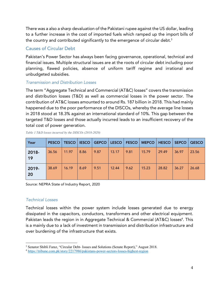There was a also a sharp devaluation of the Pakistani rupee against the US dollar, leading to a further increase in the cost of imported fuels which ramped up the import bills of the country and contributed significantly to the emergence of circular debt.<sup>3</sup>

## Causes of Circular Debt

Pakistan's Power Sector has always been facing governance, operational, technical and financial issues. Multiple structural issues are at the roots of circular debt including poor planning, flawed policies, absence of uniform tariff regime and irrational and unbudgeted subsidies.

## *Transmission and Distribution Losses*

The term "Aggregate Technical and Commercial (AT&C) losses" covers the transmission and distribution losses (T&D) as well as commercial losses in the power sector. The contribution of AT&C losses amounted to around Rs. 187 billion in 2018. This had mainly happened due to the poor performance of the DISCOs, whereby the average line losses in 2018 stood at 18.3% against an international standard of 10%. This gap between the targeted T&D losses and those actually incurred leads to an insufficient recovery of the total cost of power generation.

| Year        | <b>PESCO</b> | <b>TESCO</b> | <b>IESCO</b> |      | GEPCO   LESCO   FESCO |      | <b>MEPCO</b> | HESCO | <b>SEPCO</b> | <b>QESCO</b> |
|-------------|--------------|--------------|--------------|------|-----------------------|------|--------------|-------|--------------|--------------|
| 2018-<br>19 | 36.56        | 11.97        | 8.86         | 9.87 | 13.17                 | 9.81 | 15.79        | 29.49 | 36.97        | 23.56        |
| 2019-<br>20 | 38.69        | 16.19        | 8.69         | 9.51 | 12.44                 | 9.62 | 15.23        | 28.82 | 36.27        | 26.68        |

*Table 1 T&D losses incurred by the DISCOs (2018-2020)*

Source: NEPRA State of Industry Report, 2020

## *Technical Losses*

Technical losses within the power system include losses generated due to energy dissipated in the capacitors, conductors, transformers and other electrical equipment. Pakistan leads the region in in Aggregate Technical & Commercial (AT&C) losses<sup>4</sup>. This is a mainly due to a lack of investment in transmission and distribution infrastructure and over burdening of the infrastructure that exists.

 <sup>3</sup> Senator Shibli Faraz, "Circular Debt- Issues and Solutions (Senate Report)," August 2018.

<sup>4</sup> https://tribune.com.pk/story/2217986/pakistans-power-sectors-losses-highest-region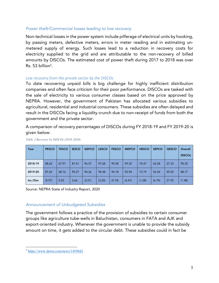#### *Power theft/Commercial losses leading to low recovery*

Non-technical losses in the power system include pilferage of electrical units by hooking, by passing meters, defective meters, errors in meter reading and in estimating unmetered supply of energy. Such losses lead to a reduction in recovery costs for electricity supplied to the grid and are attributable to the non-recovery of billed amounts by DISCOs. The estimated cost of power theft during 2017 to 2018 was over Rs. 53 billion<sup>5</sup>.

#### *Low recovery from the private sector by the DISCOs*

To date recovering unpaid bills is big challenge for highly inefficient distribution companies and often face criticism for their poor performance. DISCOs are tasked with the sale of electricity to various consumer classes based on the price approved by NEPRA. However, the government of Pakistan has allocated various subsidies to agricultural, residential and industrial consumers. These subsidies are often delayed and result in the DISCOs facing a liquidity crunch due to non-receipt of funds from both the government and the private sector.

A comparison of recovery percentages of DISCOs during FY 2018-19 and FY 2019-20 is given below:

| Year     | <b>PESCO</b> | <b>TESCO</b> | <b>IESCO</b> | <b>GEPCO</b> | <b>LESCO</b> | <b>FESCO</b> | <b>MEPCO</b> | <b>HESCO</b> | <b>SEPCO</b> | QESCO | Overall       |
|----------|--------------|--------------|--------------|--------------|--------------|--------------|--------------|--------------|--------------|-------|---------------|
|          |              |              |              |              |              |              |              |              |              |       | <b>DISCOs</b> |
| 2018-19  | 88.62        | 67.91        | 87.61        | 96.37        | 97.68        | 99.28        | 99.35        | 74.47        | 63.28        | 27.33 | 90.25         |
| 2019-20  | 87.65        | 68.16        | 90.27        | 94.36        | 94.48        | 94.18        | 92.94        | 73.19        | 56.54        | 49.25 | 88.77         |
| Inc./Dec | (0.97)       | 0.25         | 2.66         | (2.01)       | (3.20)       | (5.10)       | (6.41)       | (1.28)       | (6.74)       | 21.92 | (1.48)        |

#### *Table 2 Recovery by DISCOs (2018-2020)*

Source: NEPRA State of Industry Report, 2020

#### *Announcement of Unbudgeted Subsidies*

The government follows a practice of the provision of subsidies to certain consumer groups like agriculture tube-wells in Baluchistan, consumers in FATA and AJK and export-oriented industry. Whenever the government is unable to provide the subsidy amount on time, it gets added to the circular debt. These subsidies could in fact be

 <sup>5</sup> https://www.dawn.com/news/1459682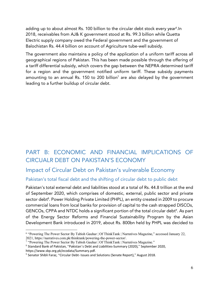adding up to about almost Rs. 100 billion to the circular debt stock every year<sup>6</sup>.In 2018, receivables from AJ& K government stood at Rs. 99.3 billion while Quetta Electric supply company owed the Federal government and the government of Balochistan Rs. 44.4 billion on account of Agriculture tube-well subsidy.

The government also maintains a policy of the application of a uniform tariff across all geographical regions of Pakistan. This has been made possible through the offering of a tariff differential subsidy, which covers the gap between the NEPRA determined tariff for a region and the government notified uniform tariff. These subsidy payments amounting to an annual Rs. 150 to 200 billion<sup>7</sup> are also delayed by the government leading to a further buildup of circular debt.

# PART B: ECONOMIC AND FINANCIAL IMPLICATIONS OF CIRCUALR DEBT ON PAKISTAN'S ECONOMY

# Impact of Circular Debt on Pakistan's vulnerable Economy

## Pakistan's total fiscal debt and the shifting of circular debt to public debt

Pakistan's total external debt and liabilities stood at a total of Rs. 44.8 trillion at the end of September 2020, which comprises of domestic, external, public sector and private sector debt<sup>8</sup>. Power Holding Private Limited (PHPL), an entity created in 2009 to procure commercial loans from local banks for provision of capital to the cash strapped DISCOs, GENCOs, CPPA and NTDC holds a significant portion of the total circular debt $^{\circ}$ . As part of the Energy Sector Reforms and Financial Sustainability Program by the Asian Development Bank introduced in 2019, about Rs. 800bn held by PHPL was decided to

 <sup>6</sup> "Powering The Power Sector By Tabish Gauhar | Of ThinkTank | Narratives Magazine," accessed January 22, 2021, https://narratives.com.pk/thinktank/powering-the-power-sector/.

<sup>7</sup> "Powering The Power Sector By Tabish Gauhar | Of ThinkTank | Narratives Magazine."

<sup>8</sup> Standard Bank of Pakistan, "Pakistan's Debt and Liabilities-Summary (2020)," September 2020, https://www.sbp.org.pk/ecodata/Summary.pdf.

<sup>&</sup>lt;sup>9</sup> Senator Shibli Faraz, "Circular Debt- Issues and Solutions (Senate Report)," August 2018.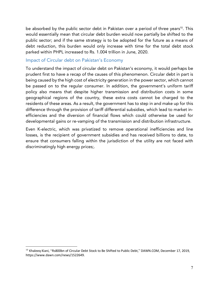be absorbed by the public sector debt in Pakistan over a period of three years<sup>10</sup>. This would essentially mean that circular debt burden would now partially be shifted to the public sector; and if the same strategy is to be adopted for the future as a means of debt reduction, this burden would only increase with time for the total debt stock parked within PHPL increased to Rs. 1.004 trillion in June, 2020.

#### Impact of Circular debt on Pakistan's Economy

To understand the impact of circular debt on Pakistan's economy, it would perhaps be prudent first to have a recap of the causes of this phenomenon. Circular debt in part is being caused by the high cost of electricity generation in the power sector, which cannot be passed on to the regular consumer. In addition, the government's uniform tariff policy also means that despite higher transmission and distribution costs in some geographical regions of the country, these extra costs cannot be charged to the residents of these areas. As a result, the government has to step in and make up for this difference through the provision of tariff differential subsidies, which lead to market inefficiencies and the diversion of financial flows which could otherwise be used for developmental gains or re-vamping of the transmission and distribution infrastructure.

Even K-electric, which was privatized to remove operational inefficiencies and line losses, is the recipient of government subsidies and has received billions to date, to ensure that consumers falling within the jurisdiction of the utility are not faced with discriminatingly high energy prices;.

<sup>&</sup>lt;sup>10</sup> Khaleeq Kiani, "Rs800bn of Circular Debt Stock to Be Shifted to Public Debt," DAWN.COM, December 17, 2019, https://www.dawn.com/news/1522649.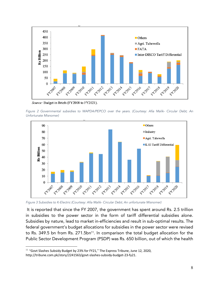

Source: Budget in Briefs (FY2008 to FY2021).

*Figure 2 Governmental subsidies to WAPDA/PEPCO over the years. (Courtesy: Afia Malik- Circular Debt; An Unfortunate Misnomer)*



*Figure 3 Subsidies to K-Electric (Courtesy: Afia Malik- Circular Debt; An unfortunate Misnomer)*

It is reported that since the FY 2007, the government has spent around Rs. 2.5 trillion in subsidies to the power sector in the form of tariff differential subsidies alone. Subsidies by nature, lead to market in-efficiencies and result in sub-optimal results. The federal government's budget allocations for subsidies in the power sector were revised to Rs. 349.5 bn from Rs. 271.5bn<sup>11</sup>. In comparison the total budget allocation for the Public Sector Development Program (PSDP) was Rs. 650 billion, out of which the health

<sup>&</sup>lt;sup>11</sup> "Govt Slashes Subsidy Budget by 23% for FY21," The Express Tribune, June 12, 2020, http://tribune.com.pk/story/2241563/govt-slashes-subsidy-budget-23-fy21.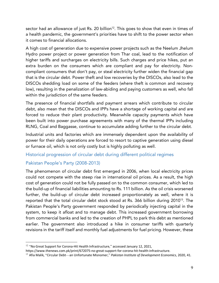sector had an allowance of just Rs. 20 billion<sup>12</sup>. This goes to show that even in times of a health pandemic, the government's priorities have to shift to the power sector when it comes to financial allocations.

A high cost of generation due to expensive power projects such as the Neelum Jhelum Hydro power project or power generation from Thar coal, lead to the notification of higher tariffs and surcharges on electricity bills. Such charges and price hikes, put an extra burden on the consumers which are compliant and pay for electricity. Noncompliant consumers that don't pay, or steal electricity further widen the financial gap that is the circular debt. Power theft and low recoveries by the DISCOs, also lead to the DISCOs shedding load on some of the feeders (where theft is common and recovery low), resulting in the penalization of law-abiding and paying customers as well, who fall within the jurisdiction of the same feeders.

The presence of financial shortfalls and payment arrears which contribute to circular debt, also mean that the DISCOs and IPPs have a shortage of working capital and are forced to reduce their plant productivity. Meanwhile capacity payments which have been built into power purchase agreements with many of the thermal IPPs including RLNG, Coal and Baggasse, continue to accumulate adding further to the circular debt.

Industrial units and factories which are immensely dependent upon the availability of power for their daily operations are forced to resort to captive generation using diesel or furnace oil, which is not only costly but is highly polluting as well.

## Historical progression of circular debt during different political regimes

## Pakistan People's Party (2008-2013)

The phenomenon of circular debt first emerged in 2006, when local electricity prices could not compete with the steep rise in international oil prices. As a result, the high cost of generation could not be fully passed on to the common consumer, which led to the build-up of financial liabilities amounting to Rs. 111 billion. As the oil crisis worsened further, the build-up of circular debt increased proportionately as well, where it is reported that the total circular debt stock stood at Rs. 366 billion during 2010<sup>13</sup>. The Pakistan People's Party government responded by periodically injecting capital in the system, to keep it afloat and to manage debt. This increased government borrowing from commercial banks and led to the creation of PHPL to park this debt as mentioned earlier. The government also introduced a hike in consumer tariffs with quarterly revisions in the tariff itself and monthly fuel adjustments for fuel pricing. However, these

<sup>&</sup>lt;sup>12</sup> "No Great Support for Corona-Hit Health Infrastructure," accessed January 12, 2021,

https://www.thenews.com.pk/print/672075-no-great-support-for-corona-hit-health-infrastructure.

<sup>13</sup> Afia Malik, "Circular Debt—an Unfortunate Misnomer," *Pakistan Institute of Development Economics*, 2020, 41.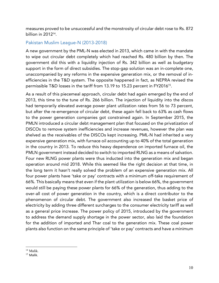measures proved to be unsuccessful and the monstrosity of circular debt rose to Rs. 872 billion in 2012<sup>14</sup>.

## Pakistan Muslim League-N (2013-2018)

A new government by the PML-N was elected in 2013, which came in with the mandate to wipe out circular debt completely which had reached Rs. 480 billion by then. The government did this with a liquidity injection of Rs. 342 billion as well as budgetary support in the form of direct subsidies. The stop-gap solution was an in-complete one, unaccompanied by any reforms in the expensive generation mix, or the removal of inefficiencies in the T&D system. The opposite happened in fact, as NEPRA revised the permissible T&D losses in the tariff from 13.19 to 15.23 percent in FY2016<sup>15</sup>.

As a result of this piecemeal approach, circular debt had again emerged by the end of 2013, this time to the tune of Rs. 266 billion. The injection of liquidity into the discos had temporarily elevated average power plant utilization rates from 56 to 73 percent, but after the re-emergence of circular debt, these again fell back to 63% as cash flows to the power generation companies got constrained again. In September 2015, the PMLN introduced a circular debt management plan that focused on the privatization of DISCOs to remove system inefficiencies and increase revenues, however the plan was shelved as the receivables of the DISCOs kept increasing. PML-N had inherited a very expensive generation mix, with furnace oil accounting up to 40% of the total generation in the country in 2013. To reduce this heavy dependence on imported furnace oil, the PMLN government instead decided to switch to imported RLNG as a means of salvation. Four new RLNG power plants were thus inducted into the generation mix and began operation around mid 2018. While this seemed like the right decision at that time, in the long term it hasn't really solved the problem of an expensive generation mix. All four power plants have 'take or pay' contracts with a minimum off-take requirement of 66%. This basically means that even if the plant utilization is below 66%, the government would still be paying these power plants for 66% of the generation, thus adding to the over-all cost of power generation in the country, which is a direct contributor to the phenomenon of circular debt. The government also increased the basket price of electricity by adding three different surcharges to the consumer electricity tariff as well as a general price increase. The power policy of 2015, introduced by the government to address the demand supply shortage in the power sector, also laid the foundation for the addition of imported and Thar coal to the generation mix. These coal power plants also function on the same principle of 'take or pay' contracts and have a minimum

 <sup>14</sup> Malik.

 $15$  Malik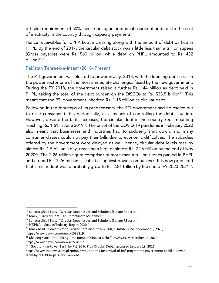off take requirement of 50%, hence being an additional source of addition to the cost of electricity in the country through capacity payments.

Hence receivables for CPPA kept increasing along with the amount of debt parked in PHPL. By the end of 2017, the circular debt stock was a little less than a trillion rupees (Gross payables were Rs. 560 billion, while debt on PHPL amounted to Rs. 432 billion) 1617.

#### Pakistan Tehreek-e-Insaaf (2018- Present)

The PTI government was elected to power in July, 2018, with the looming debt crisis in the power sector one of the most immediate challenges faced by the new government. During the FY 2018, the government raised a further Rs. 144 billion as debt held in PHPL, taking the total of the debt burden on the DISCOs to Rs. 538.5 billion<sup>18</sup>. This meant that the PTI government inherited Rs. 1.18 trillion as circular debt.

Following in the footsteps of its predecessors, the PTI government had no choice but to raise consumer tariffs periodically, as a means of controlling the debt situation. However, despite the tariff increases, the circular debt in the country kept mounting reaching Rs. 1.61 in June 2019<sup>19</sup>. The onset of the COVID-19 pandemic in February 2020 also meant that businesses and industries had to suddenly shut down, and many consumer classes could not pay their bills due to economic difficulties. The subsidies offered by the government were delayed as well, hence, circular debt levels rose by almost Rs. 1.5 billion a day, reaching a high of almost Rs. 2.26 trillion by the end of Nov 202020. The 2.26 trillion figure comprises of more than a trillion rupees parked in PHPL and around Rs. 1.26 million as liabilities against power companies.<sup>21</sup> It is now predicted that circular debt would probably grow to Rs. 2.81 trillion by the end of FY 2020-2021<sup>22</sup>.

<sup>&</sup>lt;sup>16</sup> Senator Shibli Faraz, "Circular Debt- Issues and Solutions (Senate Report)."

<sup>&</sup>lt;sup>17</sup> Malik, "Circular Debt-an Unfortunate Misnomer."

<sup>&</sup>lt;sup>18</sup> Senator Shibli Faraz, "Circular Debt- Issues and Solutions (Senate REport)."

<sup>&</sup>lt;sup>19</sup> NEPRA, "State of Industry Report 2020."

 $^{20}$  Malik Asad, "Power Sector Circular Debt Rises to Rs2.26tr," DAWN.COM, November 3, 2020, https://www.dawn.com/news/1588319.

<sup>&</sup>lt;sup>21</sup> Khaleeq Kiani, "The Ticking Time Bomb of Circular Debt," DAWN.COM, October 12, 2020, https://www.dawn.com/news/1584617.

 $22$  "Govt to Hike Power Tariff by Rs3.30 to Plug Circular Debt," accessed January 18, 2021,

https://www.thenews.com.pk/print/774527-terms-for-revival-of-imf-programme-government-to-hike-powertariff-by-rs3-30-to-plug-circular-debt.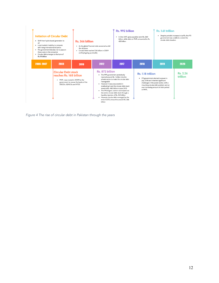| · Shift from hydro based generation to<br>oil<br>• Local markets' inability to compete<br>with rising international oil prices<br>• The government decides not to pass on<br>these costs to the consumer<br>• Circular debt emerges to the tune of<br>Rs.111 billion | <b>Initiation of Circular Debt</b>                                                                                    | Rs. 366 billion<br>the oil prices<br>and kept going up steadily | • As the global financial crisis worsened so did<br>· Circular Debt reached 236 billion in 2009                   | Rs. 992 billion<br>432 billion                                                                                                                                                                                                                                                                                                                                                                 | · In Dec 2017, gross payables were Rs. 560<br>billion, while debt on PHPL amounted to Rs. | Rs. 1.61 trillion<br>• Despite periodic increases in tariffs, the PTI<br>government was unable to control the<br>circular debt situation                                                                |                             |  |
|----------------------------------------------------------------------------------------------------------------------------------------------------------------------------------------------------------------------------------------------------------------------|-----------------------------------------------------------------------------------------------------------------------|-----------------------------------------------------------------|-------------------------------------------------------------------------------------------------------------------|------------------------------------------------------------------------------------------------------------------------------------------------------------------------------------------------------------------------------------------------------------------------------------------------------------------------------------------------------------------------------------------------|-------------------------------------------------------------------------------------------|---------------------------------------------------------------------------------------------------------------------------------------------------------------------------------------------------------|-----------------------------|--|
| 2006-2007                                                                                                                                                                                                                                                            | 2008                                                                                                                  | 2010                                                            | 2012                                                                                                              | 2017                                                                                                                                                                                                                                                                                                                                                                                           | 2018                                                                                      | 2019                                                                                                                                                                                                    | 2020                        |  |
|                                                                                                                                                                                                                                                                      | <b>Circular Debt stock</b><br>reaches Rs. 168 billion<br>· PHPL was created in 2009 by the<br>DISCOs, GENCOs and NTDC | government to rescue the books of the                           | Rs. 872 billion<br>• The PPP government periodically<br>manageable<br>· However it was unsuccessful in<br>billion | injected around Rs. 1 trillion into the<br>private sector to make the circular debt<br>eradicating it and the circular debt stock<br>stood at Rs. 480 billion in June 2013<br>• The PMLN govt. came in and wiped out<br>the entire circular debt stock through a<br>liquidity injection of Rs. 342 billion<br>• However circular debt remerged by the<br>end of 2013, amount to around Rs, 266 | Rs. 1.18 trillion<br>in PHPL.<br>ິ                                                        | • PTI government elected to power in<br>July 2018 and inherited significant<br>challenges in the power sector, with a<br>mounting circular debt problem and an<br>ever increasing amount of debt parked | <b>Rs. 2.26</b><br>trillion |  |

*Figure 4 The rise of circular debt in Pakistan through the years*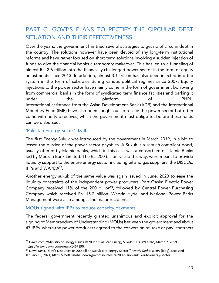# PART C: GOVT'S PLANS TO RECTIFY THE CIRCULAR DEBT SITUATION AND THEIR EFFECTIVENESS

Over the years, the government has tried several strategies to get rid of circular debt in the country. The solutions however have been devoid of any long-term institutional reforms and have rather focused on short term solutions involving a sudden injection of funds to give the financial books a temporary makeover. This has led to a funneling of almost Rs. 2.6 trillion into the financially challenged power sector in the form of equity adjustments since 2013. In addition, almost 3.1 trillion has also been injected into the system in the form of subsidies during various political regimes since 2007. Equity injections to the power sector have mainly come in the form of government borrowing from commercial banks in the form of syndicated term finance facilities and parking it under the platform of PHPL. International assistance from the Asian Development Bank (ADB) and the International Monetary Fund (IMF) have also been sought out to rescue the power sector but often come with hefty directives, which the government must oblige to, before these funds can be disbursed.

## 'Pakistan Energy Sukuk'- I& II

The first Energy Sukuk was introduced by the government in March 2019, in a bid to lessen the burden of the power sector payables. A Sukuk is a *shariah* compliant bond, usually offered by Islamic banks, which in this case was a consortium of Islamic Banks led by Meezan Bank Limited. The Rs. 200 billion raised this way, were meant to provide liquidity support to the entire energy sector including oil and gas suppliers, the DISCOs, IPPs and WAPDA23.

Another energy sukuk of the same value was again issued in June, 2020 to ease the liquidity constraints of the independent power producers. Port Qasim Electric Power Company received 11% of the 200 billion<sup>24</sup>, followed by Central Power Purchasing Company which received Rs. 15.2 billion. Wapda Hydel and National Power Parks Management were also amongst the major recipients.

## MOUs signed with IPPs to reduce capacity payments

The federal government recently granted unanimous and explicit approval for the signing of Memorandum of Understanding (MOUs) between the government and about 47 IPPs, where the power producers agreed to the conversion of 'take or pay' contracts

<sup>&</sup>lt;sup>23</sup> Dawn.com, "Ministry of Energy Issues Rs200bn 'Pakistan Energy Sukuk,"" DAWN.COM, March 2, 2019, https://www.dawn.com/news/1467190.

<sup>24</sup> News Desk, "Gov't Disburses Rs 200 Billion Sukuk-II to Energy Sector," *Mettis Global News* (blog), accessed January 18, 2021, https://mettisglobal.news/govt-disburses-rs-200-billion-sukuk-ii-to-energy-sector.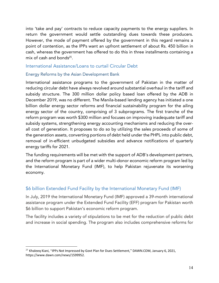into 'take and pay' contracts to reduce capacity payments to the energy suppliers. In return the government would settle outstanding dues towards these producers. However, the mode of payment offered by the government in this regard remains a point of contention, as the IPPs want an upfront settlement of about Rs. 450 billion in cash, whereas the government has offered to do this in three installments containing a mix of cash and bonds $25$ .

#### International Assistance/Loans to curtail Circular Debt

#### Energy Reforms by the Asian Development Bank

International assistance programs to the government of Pakistan in the matter of reducing circular debt have always revolved around substantial overhaul in the tariff and subsidy structure. The 300 million dollar policy based loan offered by the ADB in December 2019, was no different. The Manila-based lending agency has initiated a one billion dollar energy sector reforms and financial sustainability program for the ailing energy sector of the country, comprising of 3 subprograms. The first tranche of the reform program was worth \$300 million and focuses on improving inadequate tariff and subsidy systems, strengthening energy accounting mechanisms and reducing the overall cost of generation. It proposes to do so by utilizing the sales proceeds of some of the generation assets, converting portions of debt held under the PHPL into public debt, removal of in-efficient unbudgeted subsidies and advance notifications of quarterly energy tariffs for 2021.

The funding requirements will be met with the support of ADB's development partners, and the reform program is part of a wider multi-donor economic reform program led by the International Monetary Fund (IMF), to help Pakistan rejuvenate its worsening economy.

## \$6 billion Extended Fund Facility by the International Monetary Fund (IMF)

In July, 2019 the International Monetary Fund (IMF) approved a 39-month international assistance program under the Extended Fund Facility (EFF) program for Pakistan worth \$6 billion to support Pakistan's economic reform program.

The facility includes a variety of stipulations to be met for the reduction of public debt and increase in social spending. The program also includes comprehensive reforms for

<sup>&</sup>lt;sup>25</sup> Khaleeq Kiani, "IPPs Not Impressed by Govt Plan for Dues Settlement," DAWN.COM, January 6, 2021, https://www.dawn.com/news/1599952.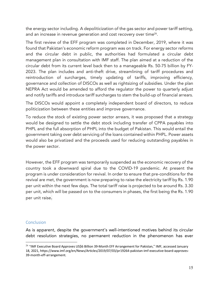the energy sector including. A depoliticization of the gas sector and power tariff setting, and an increase in revenue generation and cost recovery over time<sup>26</sup>.

The first review of the EFF program was completed in December, 2019, where it was found that Pakistan's economic reform program was on track. For energy sector reforms and the circular debt in public, the authorities had formulated a circular debt management plan in consultation with IMF staff. The plan aimed at a reduction of the circular debt from its current level back then to a manageable Rs. 50-75 billion by FY-2023. The plan includes and anti-theft drive, streamlining of tariff procedures and reintroduction of surcharges, timely updating of tariffs, improving efficiency, governance and collection of DISCOs as well as rightsizing of subsidies. Under the plan NEPRA Act would be amended to afford the regulator the power to quarterly adjust and notify tariffs and introduce tariff surcharges to stem the build-up of financial arrears.

The DISCOs would appoint a completely independent board of directors, to reduce politicization between these entities and improve governance.

To reduce the stock of existing power sector arrears, it was proposed that a strategy would be designed to settle the debt stock including transfer of CPPA payables into PHPL and the full absorption of PHPL into the budget of Pakistan. This would entail the government taking over debt servicing of the loans contained within PHPL. Power assets would also be privatized and the proceeds used for reducing outstanding payables in the power sector.

However, the EFF program was temporarily suspended as the economic recovery of the country took a downward spiral due to the COVID-19 pandemic. At present the program is under consideration for revival. In order to ensure that pre-conditions for the revival are met, the government is now preparing to raise the electricity tariff by Rs. 1.90 per unit within the next few days. The total tariff raise is projected to be around Rs. 3.30 per unit, which will be passed on to the consumers in phases, the first being the Rs. 1.90 per unit raise.

#### **Conclusion**

As is apparent, despite the government's well-intentioned motives behind its circular debt resolution strategies, no permanent reduction in the phenomenon has ever

<sup>&</sup>lt;sup>26</sup> "IMF Executive Board Approves US\$6 Billion 39-Month EFF Arrangement for Pakistan," IMF, accessed January 18, 2021, https://www.imf.org/en/News/Articles/2019/07/03/pr19264-pakistan-imf-executive-board-approves-39-month-eff-arrangement.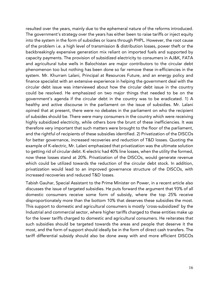resulted over the years, mainly due to the ephemeral nature of the reforms introduced. The government's strategy over the years has either been to raise tariffs or inject equity into the system in the form of subsidies or loans through PHPL. However, the root cause of the problem i.e. a high level of transmission & distribution losses, power theft or the backbreakingly expensive generation mix reliant on imported fuels and supported by capacity payments. The provision of subsidized electricity to consumers in AJ&K, FATA and agricultural tube wells in Balochistan are major contributors to the circular debt phenomenon too but nothing has been done so far remove these in-efficiencies in the system. Mr. Khurram Lalani, Principal at Resources Future, and an energy policy and finance specialist with an extensive experience in helping the government deal with the circular debt issue was interviewed about how the circular debt issue in the country could be resolved. He emphasized on two major things that needed to be on the government's agenda if the circular debt in the country was to be eradicated. 1) A healthy and active discourse in the parliament on the issue of subsidies. Mr. Lalani opined that at present, there were no debates in the parliament on who the recipient of subsides should be. There were many consumers in the country which were receiving highly subsidized electricity, while others bore the brunt of these inefficiencies. It was therefore very important that such matters were brought to the floor of the parliament, and the rightful of recipients of these subsidies identified. 2) Privatization of the DISCOs for better governance, increased recoveries and reduction of T&D losses. Quoting the example of K-electric, Mr. Lalani emphasized that privatization was the ultimate solution to getting rid of circular debt. K-electric had 40% line losses, when the utility the formed, now these losses stand at 20%. Privatization of the DISCOs, would generate revenue which could be utilized towards the reduction of the circular debt stock. In addition, privatization would lead to an improved governance structure of the DISCOs, with increased recoveries and reduced T&D losses.

Tabish Gauhar, Special Assistant to the Prime Minister on Power, in a recent article also discusses the issue of targeted subsidies. He puts forward the argument that 93% of all domestic consumers receive some form of subsidy, where the top 25% receive disproportionately more than the bottom 10% that deserves these subsidies the most. This support to domestic and agricultural consumers is mostly 'cross-subsidized' by the Industrial and commercial sector, where higher tariffs charged to these entities make up for the lower tariffs charged to domestic and agricultural consumers. He reiterates that such subsidies should be targeted towards the areas and people that deserve it the most, and the form of support should ideally be in the form of direct cash transfers. The tariff differential subsidy should also be done away with and more efficient DISCOs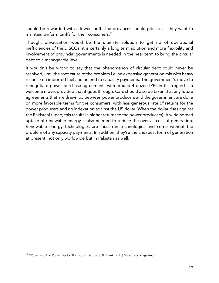should be rewarded with a lower tariff. The provinces should pitch in, if they want to maintain uniform tariffs for their consumers.<sup>27</sup>

Though, privatization would be the ultimate solution to get rid of operational inefficiencies of the DISCOs, it is certainly a long term solution and more flexibility and involvement of provincial governments is needed in the near term to bring the circular debt to a manageable level.

It wouldn't be wrong to say that the phenomenon of circular debt could never be resolved, until the root cause of the problem i.e. an expensive generation mix with heavy reliance on imported fuel and an end to capacity payments. The government's move to renegotiate power purchase agreements with around 4 dozen IPPs in this regard is a welcome move, provided that it goes through. Care should also be taken that any future agreements that are drawn up between power producers and the government are done on more favorable terms for the consumers, with less generous rate of returns for the power producers and no indexation against the US dollar (When the dollar rises against the Pakistani rupee, this results in higher returns to the power producers). A wide-spread uptake of renewable energy is also needed to reduce the over all cost of generation. Renewable energy technologies are must run technologies and come without the problem of any capacity payments. In addition, they're the cheapest form of generation at present, not only worldwide but in Pakistan as well.

<sup>&</sup>lt;sup>27</sup> "Powering The Power Sector By Tabish Gauhar | Of ThinkTank | Narratives Magazine."